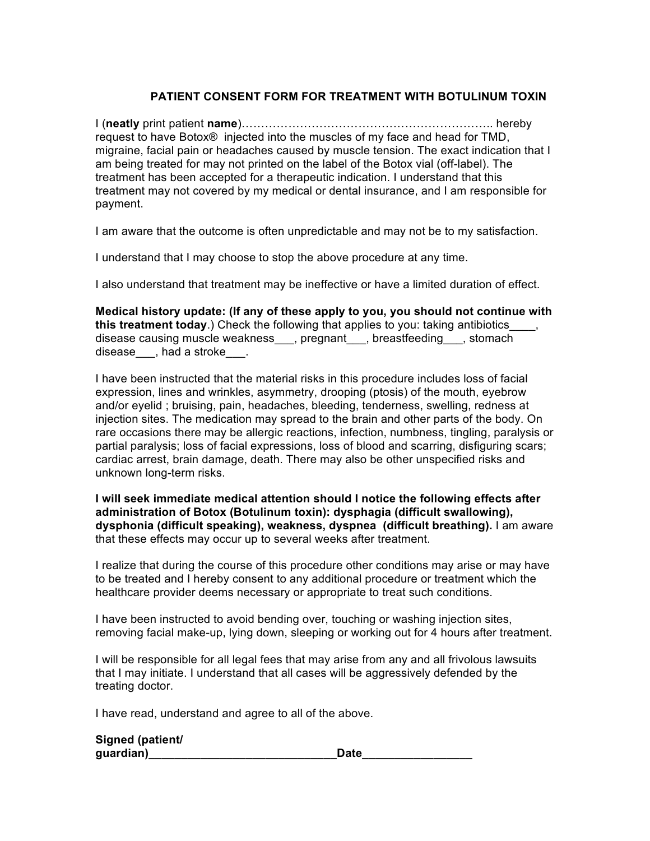## **PATIENT CONSENT FORM FOR TREATMENT WITH BOTULINUM TOXIN**

I (**neatly** print patient **name**)……………………………………………………….. hereby request to have Botox® injected into the muscles of my face and head for TMD, migraine, facial pain or headaches caused by muscle tension. The exact indication that I am being treated for may not printed on the label of the Botox vial (off-label). The treatment has been accepted for a therapeutic indication. I understand that this treatment may not covered by my medical or dental insurance, and I am responsible for payment.

I am aware that the outcome is often unpredictable and may not be to my satisfaction.

I understand that I may choose to stop the above procedure at any time.

I also understand that treatment may be ineffective or have a limited duration of effect.

**Medical history update: (If any of these apply to you, you should not continue with this treatment today**.) Check the following that applies to you: taking antibiotics disease causing muscle weakness\_\_\_, pregnant\_\_\_, breastfeeding\_\_\_, stomach disease, had a stroke.

I have been instructed that the material risks in this procedure includes loss of facial expression, lines and wrinkles, asymmetry, drooping (ptosis) of the mouth, eyebrow and/or eyelid ; bruising, pain, headaches, bleeding, tenderness, swelling, redness at injection sites. The medication may spread to the brain and other parts of the body. On rare occasions there may be allergic reactions, infection, numbness, tingling, paralysis or partial paralysis; loss of facial expressions, loss of blood and scarring, disfiguring scars; cardiac arrest, brain damage, death. There may also be other unspecified risks and unknown long-term risks.

**I will seek immediate medical attention should I notice the following effects after administration of Botox (Botulinum toxin): dysphagia (difficult swallowing), dysphonia (difficult speaking), weakness, dyspnea (difficult breathing).** I am aware that these effects may occur up to several weeks after treatment.

I realize that during the course of this procedure other conditions may arise or may have to be treated and I hereby consent to any additional procedure or treatment which the healthcare provider deems necessary or appropriate to treat such conditions.

I have been instructed to avoid bending over, touching or washing injection sites, removing facial make-up, lying down, sleeping or working out for 4 hours after treatment.

I will be responsible for all legal fees that may arise from any and all frivolous lawsuits that I may initiate. I understand that all cases will be aggressively defended by the treating doctor.

I have read, understand and agree to all of the above.

**Signed (patient/** 

| Signed (patient/ |      |
|------------------|------|
| guardian)        | Date |